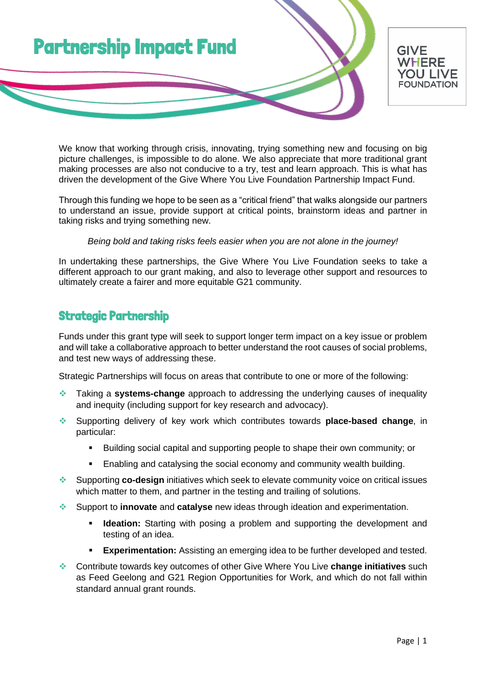

We know that working through crisis, innovating, trying something new and focusing on big picture challenges, is impossible to do alone. We also appreciate that more traditional grant making processes are also not conducive to a try, test and learn approach. This is what has driven the development of the Give Where You Live Foundation Partnership Impact Fund.

Through this funding we hope to be seen as a "critical friend" that walks alongside our partners to understand an issue, provide support at critical points, brainstorm ideas and partner in taking risks and trying something new.

## *Being bold and taking risks feels easier when you are not alone in the journey!*

In undertaking these partnerships, the Give Where You Live Foundation seeks to take a different approach to our grant making, and also to leverage other support and resources to ultimately create a fairer and more equitable G21 community.

# Strategic Partnership

Funds under this grant type will seek to support longer term impact on a key issue or problem and will take a collaborative approach to better understand the root causes of social problems, and test new ways of addressing these.

Strategic Partnerships will focus on areas that contribute to one or more of the following:

- ❖ Taking a **systems-change** approach to addressing the underlying causes of inequality and inequity (including support for key research and advocacy).
- ❖ Supporting delivery of key work which contributes towards **place-based change**, in particular:
	- Building social capital and supporting people to shape their own community; or
	- Enabling and catalysing the social economy and community wealth building.
- ❖ Supporting **co-design** initiatives which seek to elevate community voice on critical issues which matter to them, and partner in the testing and trailing of solutions.
- ❖ Support to **innovate** and **catalyse** new ideas through ideation and experimentation.
	- **Ideation:** Starting with posing a problem and supporting the development and testing of an idea.
	- **Experimentation:** Assisting an emerging idea to be further developed and tested.
- ❖ Contribute towards key outcomes of other Give Where You Live **change initiatives** such as Feed Geelong and G21 Region Opportunities for Work, and which do not fall within standard annual grant rounds.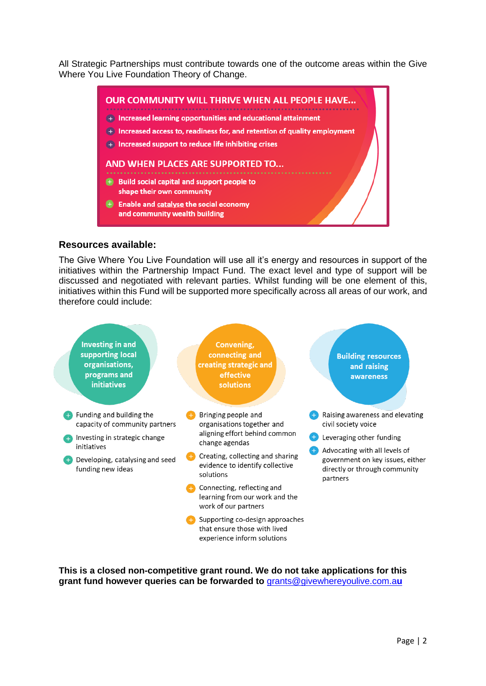All Strategic Partnerships must contribute towards one of the outcome areas within the Give Where You Live Foundation Theory of Change.



### **Resources available:**

The Give Where You Live Foundation will use all it's energy and resources in support of the initiatives within the Partnership Impact Fund. The exact level and type of support will be discussed and negotiated with relevant parties. Whilst funding will be one element of this, initiatives within this Fund will be supported more specifically across all areas of our work, and therefore could include:



**This is a closed non-competitive grant round. We do not take applications for this grant fund however queries can be forwarded to** [grants@givewhereyoulive.com.a](mailto:grants@givewhereyoulive.com.au)**u**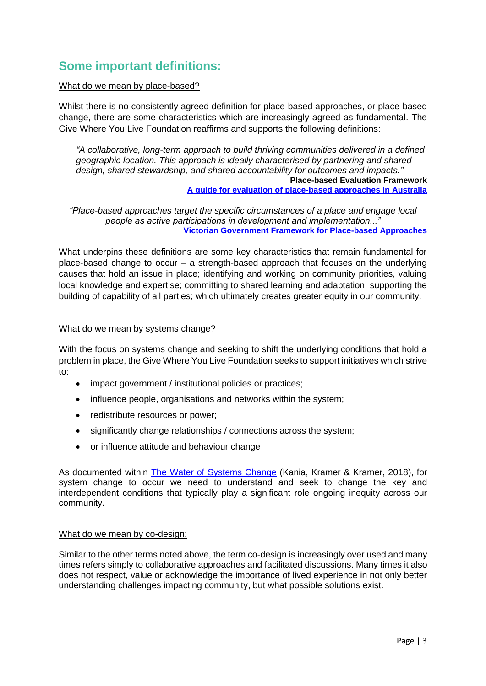# **Some important definitions:**

## What do we mean by place-based?

Whilst there is no consistently agreed definition for place-based approaches, or place-based change, there are some characteristics which are increasingly agreed as fundamental. The Give Where You Live Foundation reaffirms and supports the following definitions:

*"A collaborative, long-term approach to build thriving communities delivered in a defined geographic location. This approach is ideally characterised by partnering and shared design, shared stewardship, and shared accountability for outcomes and impacts."* **Place-based Evaluation Framework [A guide for evaluation of place-based approaches in Australia](https://www.dss.gov.au/new-framework-and-toolkit-for-evaluating-place-based-delivery-approaches)**

*"Place-based approaches target the specific circumstances of a place and engage local people as active participations in development and implementation..."* **[Victorian Government Framework for Place-based Approaches](https://www.vic.gov.au/framework-place-based-approaches/place)**

What underpins these definitions are some key characteristics that remain fundamental for place-based change to occur – a strength-based approach that focuses on the underlying causes that hold an issue in place; identifying and working on community priorities, valuing local knowledge and expertise; committing to shared learning and adaptation; supporting the building of capability of all parties; which ultimately creates greater equity in our community.

### What do we mean by systems change?

With the focus on systems change and seeking to shift the underlying conditions that hold a problem in place, the Give Where You Live Foundation seeks to support initiatives which strive to:

- impact government / institutional policies or practices;
- influence people, organisations and networks within the system;
- redistribute resources or power;
- significantly change relationships / connections across the system;
- or influence attitude and behaviour change

As documented within [The Water of Systems Change](https://www.fsg.org/publications/water_of_systems_change) (Kania, Kramer & Kramer, 2018), for system change to occur we need to understand and seek to change the key and interdependent conditions that typically play a significant role ongoing inequity across our community.

#### What do we mean by co-design:

Similar to the other terms noted above, the term co-design is increasingly over used and many times refers simply to collaborative approaches and facilitated discussions. Many times it also does not respect, value or acknowledge the importance of lived experience in not only better understanding challenges impacting community, but what possible solutions exist.